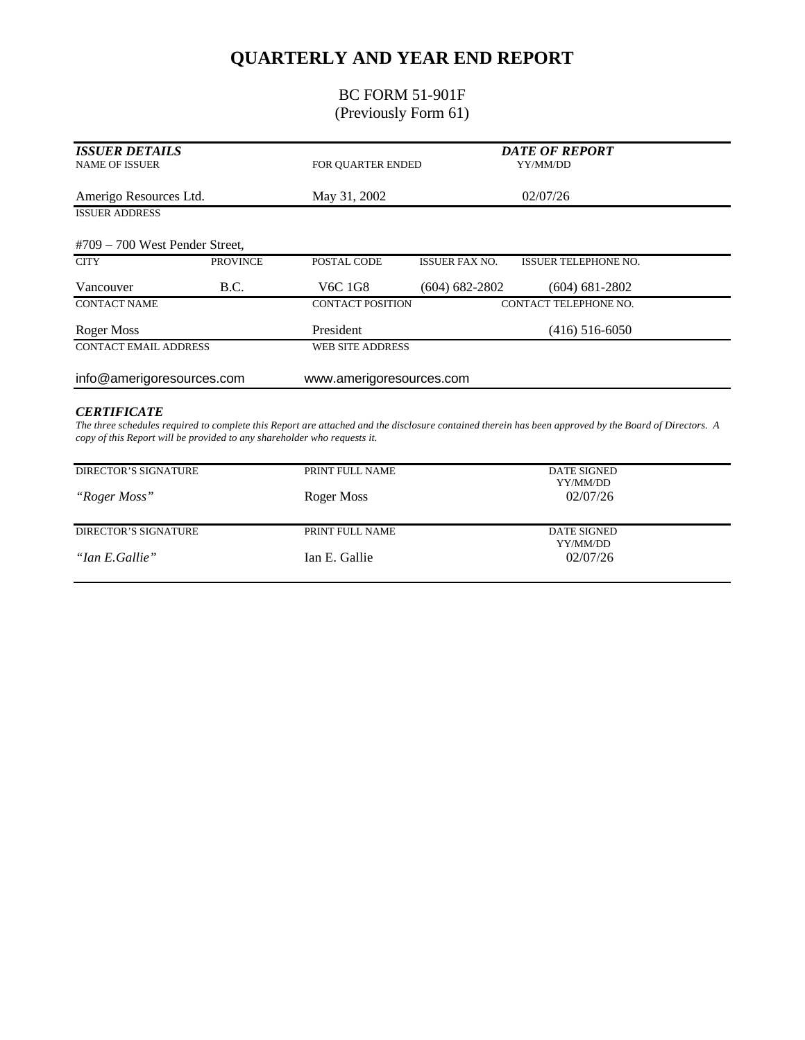# **QUARTERLY AND YEAR END REPORT**

### BC FORM 51-901F (Previously Form 61)

| <b>ISSUER DETAILS</b><br><b>NAME OF ISSUER</b> |                 | FOR QUARTER ENDED        |                       | <b>DATE OF REPORT</b><br>YY/MM/DD |  |
|------------------------------------------------|-----------------|--------------------------|-----------------------|-----------------------------------|--|
| Amerigo Resources Ltd.                         |                 | May 31, 2002             | 02/07/26              |                                   |  |
| <b>ISSUER ADDRESS</b>                          |                 |                          |                       |                                   |  |
| $#709 - 700$ West Pender Street,               |                 |                          |                       |                                   |  |
| <b>CITY</b>                                    | <b>PROVINCE</b> | POSTAL CODE              | <b>ISSUER FAX NO.</b> | <b>ISSUER TELEPHONE NO.</b>       |  |
| Vancouver                                      | B.C.            | V6C 1G8                  | $(604) 682 - 2802$    | $(604) 681 - 2802$                |  |
| <b>CONTACT NAME</b>                            |                 | <b>CONTACT POSITION</b>  |                       | CONTACT TELEPHONE NO.             |  |
| Roger Moss                                     |                 | President                |                       | $(416)$ 516-6050                  |  |
| <b>CONTACT EMAIL ADDRESS</b>                   |                 | <b>WEB SITE ADDRESS</b>  |                       |                                   |  |
| info@amerigoresources.com                      |                 | www.amerigoresources.com |                       |                                   |  |
| <b>CERTIFICATE</b>                             |                 |                          |                       |                                   |  |

*The three schedules required to complete this Report are attached and the disclosure contained therein has been approved by the Board of Directors. A copy of this Report will be provided to any shareholder who requests it.*

| DIRECTOR'S SIGNATURE | PRINT FULL NAME | <b>DATE SIGNED</b><br>YY/MM/DD |  |
|----------------------|-----------------|--------------------------------|--|
| "Roger Moss"         | Roger Moss      | 02/07/26                       |  |
| DIRECTOR'S SIGNATURE | PRINT FULL NAME | DATE SIGNED                    |  |
|                      |                 | YY/MM/DD                       |  |
| "Ian E.Gallie"       | Ian E. Gallie   | 02/07/26                       |  |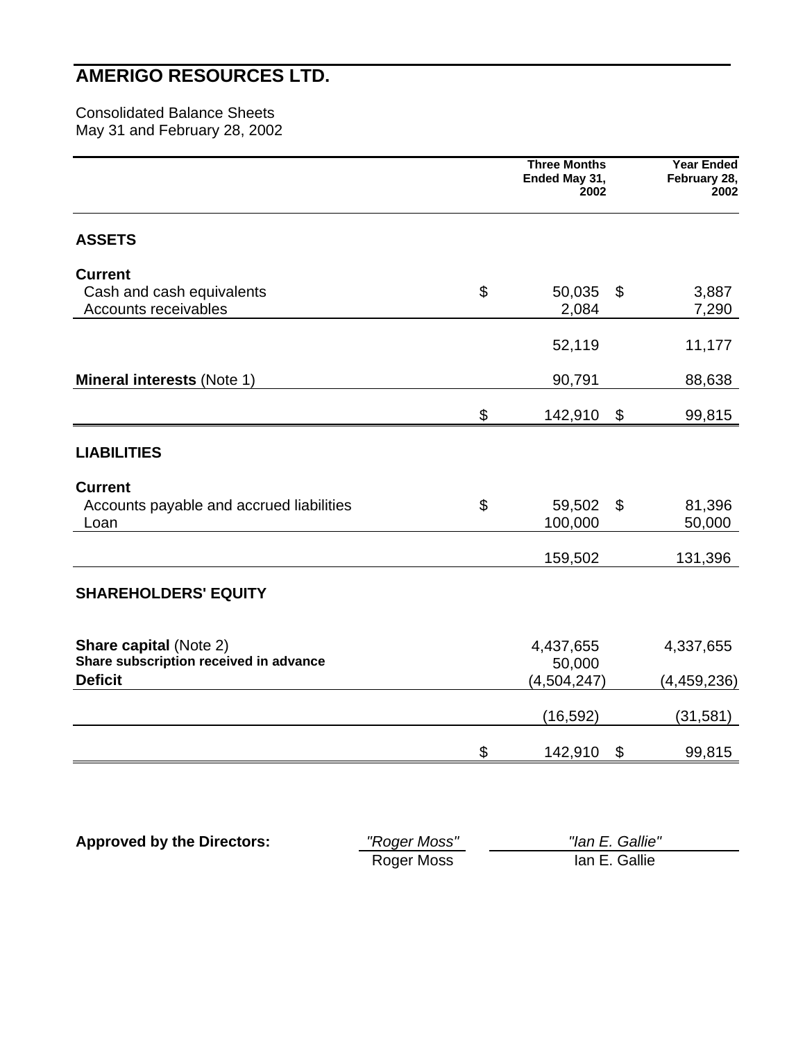### **AMERIGO RESOURCES LTD.**

Consolidated Balance Sheets May 31 and February 28, 2002

|                                                          | <b>Three Months</b><br>Ended May 31,<br>2002 | <b>Year Ended</b><br>February 28,<br>2002     |
|----------------------------------------------------------|----------------------------------------------|-----------------------------------------------|
| <b>ASSETS</b>                                            |                                              |                                               |
| <b>Current</b>                                           |                                              |                                               |
| Cash and cash equivalents<br>Accounts receivables        | \$<br>50,035<br>2,084                        | $\boldsymbol{\mathsf{S}}$<br>3,887<br>7,290   |
|                                                          | 52,119                                       | 11,177                                        |
| <b>Mineral interests (Note 1)</b>                        | 90,791                                       | 88,638                                        |
|                                                          | \$<br>142,910                                | $\boldsymbol{\mathsf{S}}$<br>99,815           |
| <b>LIABILITIES</b>                                       |                                              |                                               |
| <b>Current</b>                                           |                                              |                                               |
| Accounts payable and accrued liabilities<br>Loan         | \$<br>59,502<br>100,000                      | $\boldsymbol{\mathsf{S}}$<br>81,396<br>50,000 |
|                                                          | 159,502                                      | 131,396                                       |
| <b>SHAREHOLDERS' EQUITY</b>                              |                                              |                                               |
| <b>Share capital (Note 2)</b>                            | 4,437,655                                    | 4,337,655                                     |
| Share subscription received in advance<br><b>Deficit</b> | 50,000<br>(4, 504, 247)                      | (4,459,236)                                   |
|                                                          | (16, 592)                                    | (31, 581)                                     |
|                                                          | \$<br>142,910                                | $\boldsymbol{\theta}$<br>99,815               |
|                                                          |                                              |                                               |

**Approved by the Directors:** *"Roger Moss" "Ian E. Gallie"* Roger Moss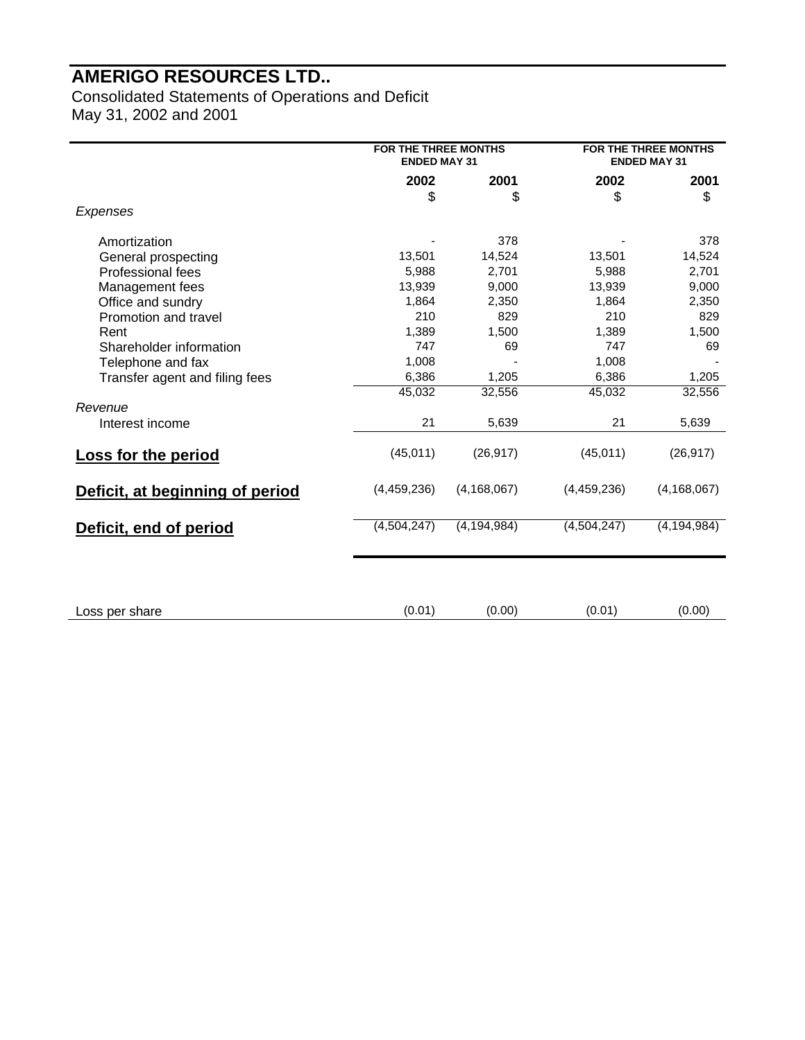## **AMERIGO RESOURCES LTD..**

Consolidated Statements of Operations and Deficit May 31, 2002 and 2001

|                                 | <b>FOR THE THREE MONTHS</b><br><b>ENDED MAY 31</b> |               |             | FOR THE THREE MONTHS<br><b>ENDED MAY 31</b> |  |
|---------------------------------|----------------------------------------------------|---------------|-------------|---------------------------------------------|--|
|                                 | 2002                                               | 2001          | 2002        | 2001                                        |  |
|                                 | \$                                                 | \$            | \$          | \$                                          |  |
| Expenses                        |                                                    |               |             |                                             |  |
| Amortization                    |                                                    | 378           |             | 378                                         |  |
| General prospecting             | 13,501                                             | 14,524        | 13,501      | 14,524                                      |  |
| Professional fees               | 5,988                                              | 2,701         | 5,988       | 2,701                                       |  |
| Management fees                 | 13,939                                             | 9,000         | 13,939      | 9,000                                       |  |
| Office and sundry               | 1,864                                              | 2,350         | 1,864       | 2,350                                       |  |
| Promotion and travel            | 210                                                | 829           | 210         | 829                                         |  |
| Rent                            | 1,389                                              | 1,500         | 1,389       | 1,500                                       |  |
| Shareholder information         | 747                                                | 69            | 747         | 69                                          |  |
| Telephone and fax               | 1,008                                              |               | 1,008       |                                             |  |
| Transfer agent and filing fees  | 6,386                                              | 1,205         | 6,386       | 1,205                                       |  |
|                                 | 45,032                                             | 32,556        | 45,032      | 32,556                                      |  |
| Revenue                         |                                                    |               |             |                                             |  |
| Interest income                 | 21                                                 | 5,639         | 21          | 5,639                                       |  |
| <b>Loss for the period</b>      | (45, 011)                                          | (26, 917)     | (45, 011)   | (26, 917)                                   |  |
| Deficit, at beginning of period | (4,459,236)                                        | (4, 168, 067) | (4,459,236) | (4, 168, 067)                               |  |
| Deficit, end of period          | (4,504,247)                                        | (4, 194, 984) | (4,504,247) | (4, 194, 984)                               |  |
|                                 |                                                    |               |             |                                             |  |
| Loss per share                  | (0.01)                                             | (0.00)        | (0.01)      | (0.00)                                      |  |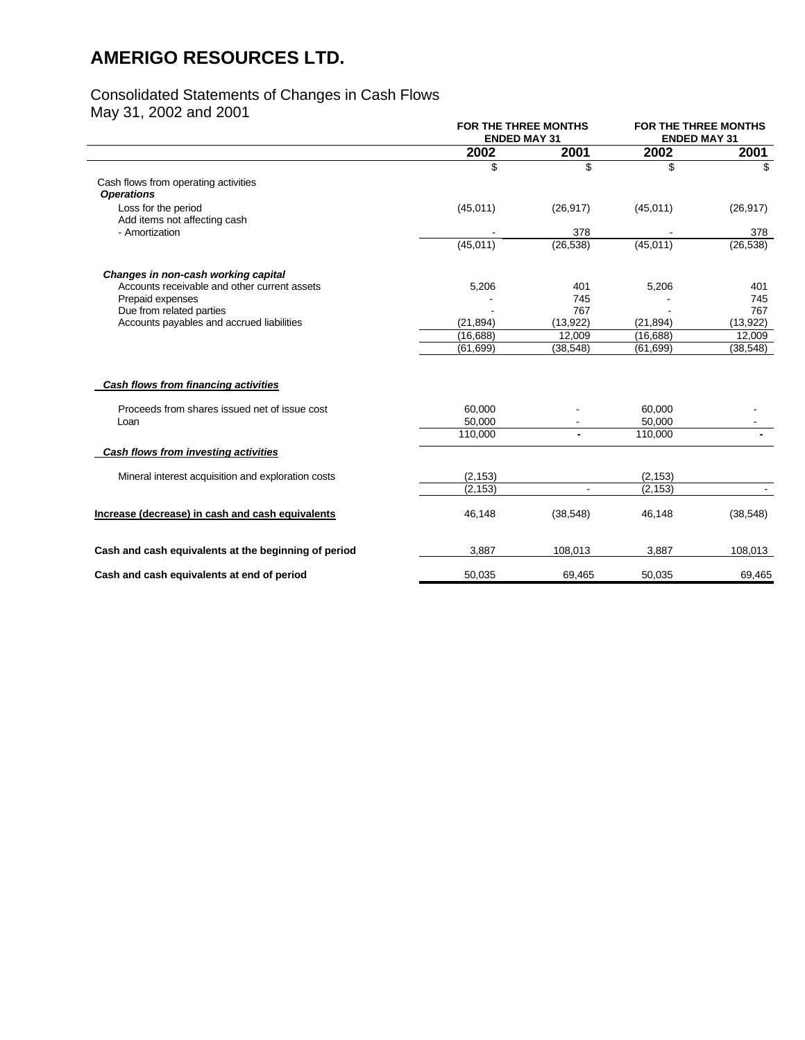## **AMERIGO RESOURCES LTD.**

#### Consolidated Statements of Changes in Cash Flows

May 31, 2002 and 2001

| <b>ENDED MAY 31</b> |                                    | FOR THE THREE MONTHS<br><b>ENDED MAY 31</b>     |                       |
|---------------------|------------------------------------|-------------------------------------------------|-----------------------|
| 2002                | 2001                               | 2002                                            | 2001                  |
| \$                  | \$                                 | \$                                              | \$.                   |
|                     |                                    |                                                 |                       |
|                     |                                    |                                                 |                       |
|                     | (26, 917)                          |                                                 | (26, 917)             |
|                     |                                    |                                                 |                       |
|                     |                                    |                                                 | 378                   |
|                     |                                    |                                                 | (26, 538)             |
|                     |                                    |                                                 |                       |
| 5,206               | 401                                | 5,206                                           | 401                   |
|                     | 745                                |                                                 | 745                   |
|                     | 767                                |                                                 | 767                   |
| (21, 894)           | (13,922)                           | (21, 894)                                       | (13,922)              |
|                     | 12.009                             | (16,688)                                        | 12,009                |
| (61.699)            | (38, 548)                          | (61.699)                                        | (38, 548)             |
|                     |                                    |                                                 |                       |
| 60,000              | $\overline{\phantom{a}}$           | 60,000                                          |                       |
| 50,000              |                                    | 50,000                                          |                       |
| 110,000             | $\overline{\phantom{a}}$           | 110,000                                         |                       |
|                     |                                    |                                                 |                       |
| (2, 153)            |                                    | (2, 153)                                        |                       |
| (2, 153)            | $\blacksquare$                     | (2, 153)                                        |                       |
| 46,148              | (38, 548)                          | 46,148                                          | (38, 548)             |
| 3,887               | 108,013                            | 3,887                                           | 108,013               |
| 50,035              | 69,465                             | 50,035                                          | 69,465                |
|                     | (45, 011)<br>(45,011)<br>(16, 688) | <b>FOR THE THREE MONTHS</b><br>378<br>(26, 538) | (45, 011)<br>(45,011) |